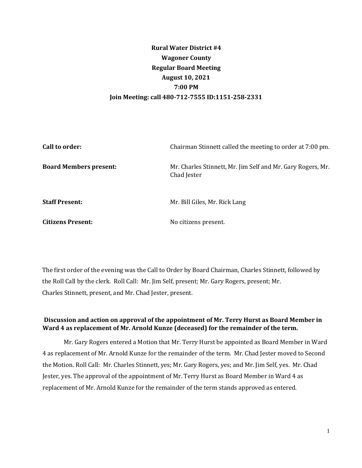# **Rural Water District #4 Wagoner County Regular Board Meeting August 10, 2021 7:00 PM Join Meeting: call 480-712-7555 ID:1151-258-2331**

| Call to order:                | Chairman Stinnett called the meeting to order at 7:00 pm.                  |
|-------------------------------|----------------------------------------------------------------------------|
| <b>Board Members present:</b> | Mr. Charles Stinnett, Mr. Jim Self and Mr. Gary Rogers, Mr.<br>Chad Jester |
| <b>Staff Present:</b>         | Mr. Bill Giles, Mr. Rick Lang                                              |
| <b>Citizens Present:</b>      | No citizens present.                                                       |

The first order of the evening was the Call to Order by Board Chairman, Charles Stinnett, followed by the Roll Call by the clerk. Roll Call: Mr. Jim Self, present; Mr. Gary Rogers, present; Mr. Charles Stinnett, present, and Mr. Chad Jester, present.

# **Discussion and action on approval of the appointment of Mr. Terry Hurst as Board Member in Ward 4 as replacement of Mr. Arnold Kunze (deceased) for the remainder of the term.**

Mr. Gary Rogers entered a Motion that Mr. Terry Hurst be appointed as Board Member in Ward 4 as replacement of Mr. Arnold Kunze for the remainder of the term. Mr. Chad Jester moved to Second the Motion. Roll Call: Mr. Charles Stinnett, yes; Mr. Gary Rogers, yes; and Mr. Jim Self, yes. Mr. Chad Jester, yes. The approval of the appointment of Mr. Terry Hurst as Board Member in Ward 4 as replacement of Mr. Arnold Kunze for the remainder of the term stands approved as entered.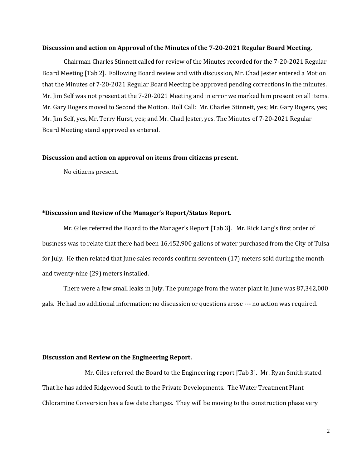#### **Discussion and action on Approval of the Minutes of the 7-20-2021 Regular Board Meeting.**

Chairman Charles Stinnett called for review of the Minutes recorded for the 7-20-2021 Regular Board Meeting [Tab 2]. Following Board review and with discussion, Mr. Chad Jester entered a Motion that the Minutes of 7-20-2021 Regular Board Meeting be approved pending corrections in the minutes. Mr. Jim Self was not present at the 7-20-2021 Meeting and in error we marked him present on all items. Mr. Gary Rogers moved to Second the Motion. Roll Call: Mr. Charles Stinnett, yes; Mr. Gary Rogers, yes; Mr. Jim Self, yes, Mr. Terry Hurst, yes; and Mr. Chad Jester, yes. The Minutes of 7-20-2021 Regular Board Meeting stand approved as entered.

#### **Discussion and action on approval on items from citizens present.**

No citizens present.

### **\*Discussion and Review of the Manager's Report/Status Report.**

Mr. Giles referred the Board to the Manager's Report [Tab 3]. Mr. Rick Lang's first order of business was to relate that there had been 16,452,900 gallons of water purchased from the City of Tulsa for July. He then related that June sales records confirm seventeen (17) meters sold during the month and twenty-nine (29) meters installed.

There were a few small leaks in July. The pumpage from the water plant in June was 87,342,000 gals. He had no additional information; no discussion or questions arose --- no action was required.

### **Discussion and Review on the Engineering Report.**

Mr. Giles referred the Board to the Engineering report [Tab 3]. Mr. Ryan Smith stated That he has added Ridgewood South to the Private Developments. The Water Treatment Plant Chloramine Conversion has a few date changes. They will be moving to the construction phase very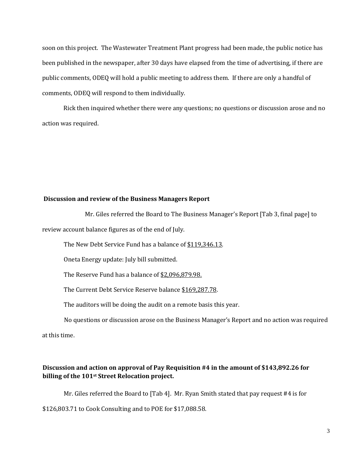soon on this project. The Wastewater Treatment Plant progress had been made, the public notice has been published in the newspaper, after 30 days have elapsed from the time of advertising, if there are public comments, ODEQ will hold a public meeting to address them. If there are only a handful of comments, ODEQ will respond to them individually.

Rick then inquired whether there were any questions; no questions or discussion arose and no action was required.

#### **Discussion and review of the Business Managers Report**

Mr. Giles referred the Board to The Business Manager's Report [Tab 3, final page] to review account balance figures as of the end of July.

The New Debt Service Fund has a balance of \$119,346.13.

Oneta Energy update: July bill submitted.

The Reserve Fund has a balance of \$2,096,879.98.

The Current Debt Service Reserve balance \$169,287.78.

The auditors will be doing the audit on a remote basis this year.

No questions or discussion arose on the Business Manager's Report and no action was required

at this time.

### **Discussion and action on approval of Pay Requisition #4 in the amount of \$143,892.26 for billing of the 101st Street Relocation project.**

Mr. Giles referred the Board to [Tab 4]. Mr. Ryan Smith stated that pay request #4 is for \$126,803.71 to Cook Consulting and to POE for \$17,088.58.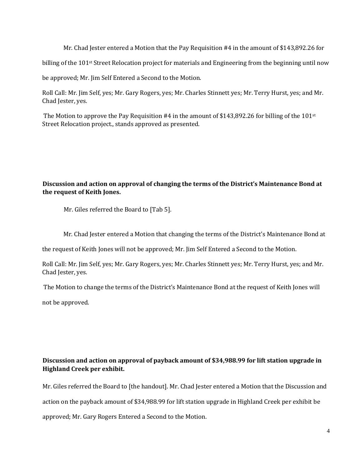Mr. Chad Jester entered a Motion that the Pay Requisition #4 in the amount of \$143,892.26 for

billing of the  $101$ <sup>st</sup> Street Relocation project for materials and Engineering from the beginning until now

be approved; Mr. Jim Self Entered a Second to the Motion.

Roll Call: Mr. Jim Self, yes; Mr. Gary Rogers, yes; Mr. Charles Stinnett yes; Mr. Terry Hurst, yes; and Mr. Chad Jester, yes.

The Motion to approve the Pay Requisition #4 in the amount of \$143,892.26 for billing of the 101st Street Relocation project., stands approved as presented.

# **Discussion and action on approval of changing the terms of the District's Maintenance Bond at the request of Keith Jones.**

Mr. Giles referred the Board to [Tab 5].

Mr. Chad Jester entered a Motion that changing the terms of the District's Maintenance Bond at

the request of Keith Jones will not be approved; Mr. Jim Self Entered a Second to the Motion.

Roll Call: Mr. Jim Self, yes; Mr. Gary Rogers, yes; Mr. Charles Stinnett yes; Mr. Terry Hurst, yes; and Mr. Chad Jester, yes.

The Motion to change the terms of the District's Maintenance Bond at the request of Keith Jones will

not be approved.

### **Discussion and action on approval of payback amount of \$34,988.99 for lift station upgrade in Highland Creek per exhibit.**

Mr. Giles referred the Board to [the handout]. Mr. Chad Jester entered a Motion that the Discussion and action on the payback amount of \$34,988.99 for lift station upgrade in Highland Creek per exhibit be approved; Mr. Gary Rogers Entered a Second to the Motion.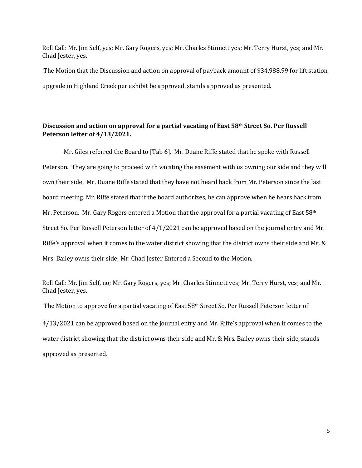Roll Call: Mr. Jim Self, yes; Mr. Gary Rogers, yes; Mr. Charles Stinnett yes; Mr. Terry Hurst, yes; and Mr. Chad Jester, yes.

The Motion that the Discussion and action on approval of payback amount of \$34,988.99 for lift station upgrade in Highland Creek per exhibit be approved, stands approved as presented.

### **Discussion and action on approval for a partial vacating of East 58th Street So. Per Russell Peterson letter of 4/13/2021.**

Mr. Giles referred the Board to [Tab 6]. Mr. Duane Riffe stated that he spoke with Russell Peterson. They are going to proceed with vacating the easement with us owning our side and they will own their side. Mr. Duane Riffe stated that they have not heard back from Mr. Peterson since the last board meeting. Mr. Riffe stated that if the board authorizes, he can approve when he hears back from Mr. Peterson. Mr. Gary Rogers entered a Motion that the approval for a partial vacating of East 58th Street So. Per Russell Peterson letter of 4/1/2021 can be approved based on the journal entry and Mr. Riffe's approval when it comes to the water district showing that the district owns their side and Mr. & Mrs. Bailey owns their side; Mr. Chad Jester Entered a Second to the Motion.

Roll Call: Mr. Jim Self, no; Mr. Gary Rogers, yes; Mr. Charles Stinnett yes; Mr. Terry Hurst, yes; and Mr. Chad Jester, yes.

The Motion to approve for a partial vacating of East 58th Street So. Per Russell Peterson letter of

4/13/2021 can be approved based on the journal entry and Mr. Riffe's approval when it comes to the water district showing that the district owns their side and Mr. & Mrs. Bailey owns their side, stands approved as presented.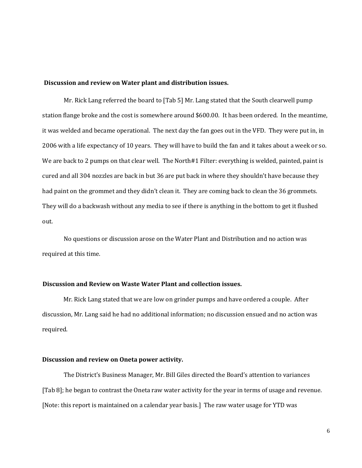#### **Discussion and review on Water plant and distribution issues.**

Mr. Rick Lang referred the board to [Tab 5] Mr. Lang stated that the South clearwell pump station flange broke and the cost is somewhere around \$600.00. It has been ordered. In the meantime, it was welded and became operational. The next day the fan goes out in the VFD. They were put in, in 2006 with a life expectancy of 10 years. They will have to build the fan and it takes about a week or so. We are back to 2 pumps on that clear well. The North#1 Filter: everything is welded, painted, paint is cured and all 304 nozzles are back in but 36 are put back in where they shouldn't have because they had paint on the grommet and they didn't clean it. They are coming back to clean the 36 grommets. They will do a backwash without any media to see if there is anything in the bottom to get it flushed out.

No questions or discussion arose on the Water Plant and Distribution and no action was required at this time.

#### **Discussion and Review on Waste Water Plant and collection issues.**

Mr. Rick Lang stated that we are low on grinder pumps and have ordered a couple. After discussion, Mr. Lang said he had no additional information; no discussion ensued and no action was required.

#### **Discussion and review on Oneta power activity.**

The District's Business Manager, Mr. Bill Giles directed the Board's attention to variances [Tab 8]; he began to contrast the Oneta raw water activity for the year in terms of usage and revenue. [Note: this report is maintained on a calendar year basis.] The raw water usage for YTD was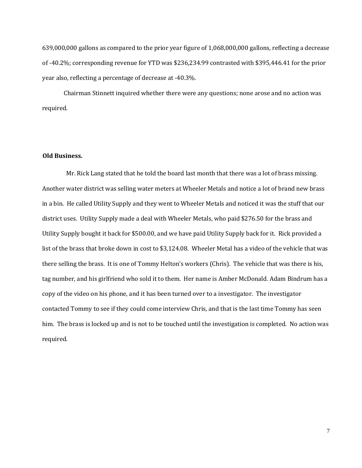639,000,000 gallons as compared to the prior year figure of 1,068,000,000 gallons, reflecting a decrease of -40.2%; corresponding revenue for YTD was \$236,234.99 contrasted with \$395,446.41 for the prior year also, reflecting a percentage of decrease at -40.3%.

Chairman Stinnett inquired whether there were any questions; none arose and no action was required.

### **Old Business.**

Mr. Rick Lang stated that he told the board last month that there was a lot of brass missing. Another water district was selling water meters at Wheeler Metals and notice a lot of brand new brass in a bin. He called Utility Supply and they went to Wheeler Metals and noticed it was the stuff that our district uses. Utility Supply made a deal with Wheeler Metals, who paid \$276.50 for the brass and Utility Supply bought it back for \$500.00, and we have paid Utility Supply back for it. Rick provided a list of the brass that broke down in cost to \$3,124.08. Wheeler Metal has a video of the vehicle that was there selling the brass. It is one of Tommy Helton's workers (Chris). The vehicle that was there is his, tag number, and his girlfriend who sold it to them. Her name is Amber McDonald. Adam Bindrum has a copy of the video on his phone, and it has been turned over to a investigator. The investigator contacted Tommy to see if they could come interview Chris, and that is the last time Tommy has seen him. The brass is locked up and is not to be touched until the investigation is completed. No action was required.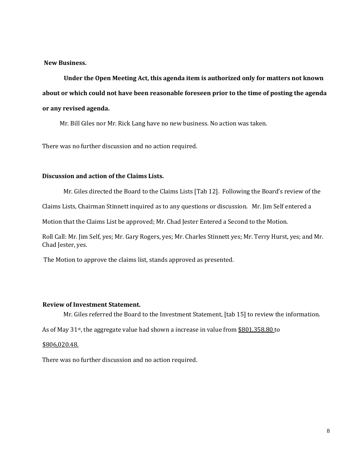**New Business.** 

**Under the Open Meeting Act, this agenda item is authorized only for matters not known about or which could not have been reasonable foreseen prior to the time of posting the agenda or any revised agenda.** 

Mr. Bill Giles nor Mr. Rick Lang have no new business. No action was taken.

There was no further discussion and no action required.

### **Discussion and action of the Claims Lists.**

Mr. Giles directed the Board to the Claims Lists [Tab 12]. Following the Board's review of the

Claims Lists, Chairman Stinnett inquired as to any questions or discussion. Mr. Jim Self entered a

Motion that the Claims List be approved; Mr. Chad Jester Entered a Second to the Motion.

Roll Call: Mr. Jim Self, yes; Mr. Gary Rogers, yes; Mr. Charles Stinnett yes; Mr. Terry Hurst, yes; and Mr. Chad Jester, yes.

The Motion to approve the claims list, stands approved as presented.

### **Review of Investment Statement.**

Mr. Giles referred the Board to the Investment Statement, [tab 15] to review the information.

As of May 31<sup>st</sup>, the aggregate value had shown a increase in value from \$801,358.80 to

### \$806,020.48.

There was no further discussion and no action required.